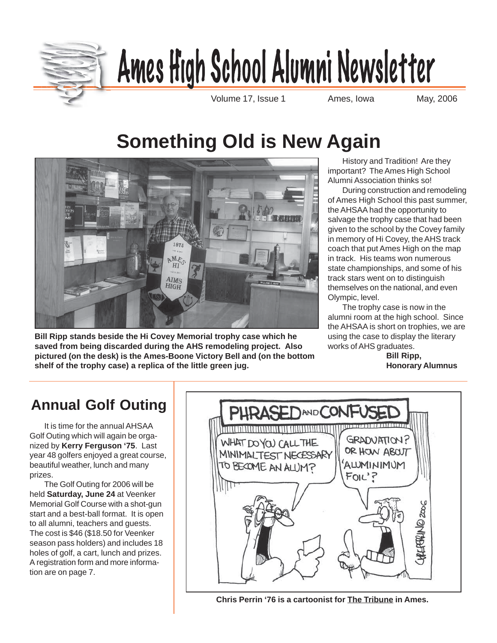

# Ames High School Alumni Newsletter

Volume 17, Issue 1 **Ames**, Iowa May, 2006

# **Something Old is New Again**



**Bill Ripp stands beside the Hi Covey Memorial trophy case which he saved from being discarded during the AHS remodeling project. Also pictured (on the desk) is the Ames-Boone Victory Bell and (on the bottom shelf of the trophy case) a replica of the little green jug.**

History and Tradition! Are they important? The Ames High School Alumni Association thinks so!

During construction and remodeling of Ames High School this past summer, the AHSAA had the opportunity to salvage the trophy case that had been given to the school by the Covey family in memory of Hi Covey, the AHS track coach that put Ames High on the map in track. His teams won numerous state championships, and some of his track stars went on to distinguish themselves on the national, and even Olympic, level.

The trophy case is now in the alumni room at the high school. Since the AHSAA is short on trophies, we are using the case to display the literary works of AHS graduates.

**Bill Ripp, Honorary Alumnus**

# **Annual Golf Outing**

It is time for the annual AHSAA Golf Outing which will again be organized by **Kerry Ferguson '75**. Last year 48 golfers enjoyed a great course, beautiful weather, lunch and many prizes.

The Golf Outing for 2006 will be held **Saturday, June 24** at Veenker Memorial Golf Course with a shot-gun start and a best-ball format. It is open to all alumni, teachers and guests. The cost is \$46 (\$18.50 for Veenker season pass holders) and includes 18 holes of golf, a cart, lunch and prizes. A registration form and more information are on page 7.



**Chris Perrin '76 is a cartoonist for The Tribune in Ames.**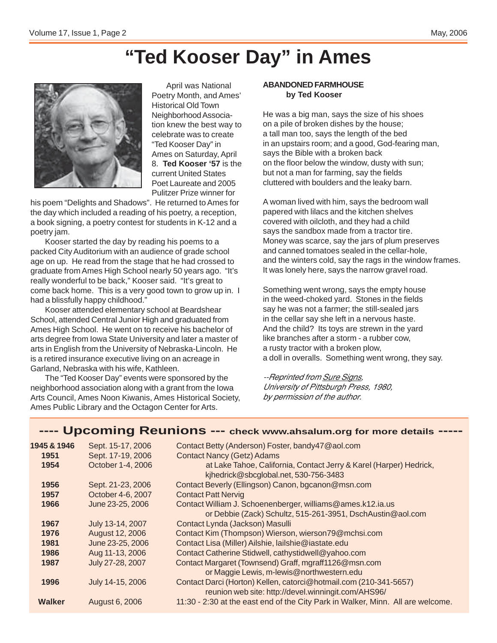# **"Ted Kooser Day" in Ames**



April was National Poetry Month, and Ames' Historical Old Town Neighborhood Association knew the best way to celebrate was to create "Ted Kooser Day" in Ames on Saturday, April 8. **Ted Kooser '57** is the current United States Poet Laureate and 2005 Pulitzer Prize winner for

his poem "Delights and Shadows". He returned to Ames for the day which included a reading of his poetry, a reception, a book signing, a poetry contest for students in K-12 and a poetry jam.

Kooser started the day by reading his poems to a packed City Auditorium with an audience of grade school age on up. He read from the stage that he had crossed to graduate from Ames High School nearly 50 years ago. "It's really wonderful to be back," Kooser said. "It's great to come back home. This is a very good town to grow up in. I had a blissfully happy childhood."

Kooser attended elementary school at Beardshear School, attended Central Junior High and graduated from Ames High School. He went on to receive his bachelor of arts degree from Iowa State University and later a master of arts in English from the University of Nebraska-Lincoln. He is a retired insurance executive living on an acreage in Garland, Nebraska with his wife, Kathleen.

The "Ted Kooser Day" events were sponsored by the neighborhood association along with a grant from the Iowa Arts Council, Ames Noon Kiwanis, Ames Historical Society, Ames Public Library and the Octagon Center for Arts.

### **ABANDONED FARMHOUSE by Ted Kooser**

He was a big man, says the size of his shoes on a pile of broken dishes by the house; a tall man too, says the length of the bed in an upstairs room; and a good, God-fearing man, says the Bible with a broken back on the floor below the window, dusty with sun; but not a man for farming, say the fields cluttered with boulders and the leaky barn.

A woman lived with him, says the bedroom wall papered with lilacs and the kitchen shelves covered with oilcloth, and they had a child says the sandbox made from a tractor tire. Money was scarce, say the jars of plum preserves and canned tomatoes sealed in the cellar-hole, and the winters cold, say the rags in the window frames. It was lonely here, says the narrow gravel road.

Something went wrong, says the empty house in the weed-choked yard. Stones in the fields say he was not a farmer; the still-sealed jars in the cellar say she left in a nervous haste. And the child? Its toys are strewn in the yard like branches after a storm - a rubber cow, a rusty tractor with a broken plow, a doll in overalls. Something went wrong, they say.

--Reprinted from Sure Signs, University of Pittsburgh Press, 1980, by permission of the author.

### **---- Upcoming Reunions --- check www.ahsalum.org for more details -----**

| 1945 & 1946   | Sept. 15-17, 2006 | Contact Betty (Anderson) Foster, bandy47@aol.com                                |
|---------------|-------------------|---------------------------------------------------------------------------------|
| 1951          | Sept. 17-19, 2006 | <b>Contact Nancy (Getz) Adams</b>                                               |
| 1954          | October 1-4, 2006 | at Lake Tahoe, California, Contact Jerry & Karel (Harper) Hedrick,              |
|               |                   | kjhedrick@sbcglobal.net, 530-756-3483                                           |
| 1956          | Sept. 21-23, 2006 | Contact Beverly (Ellingson) Canon, bgcanon@msn.com                              |
| 1957          | October 4-6, 2007 | <b>Contact Patt Nervig</b>                                                      |
| 1966          | June 23-25, 2006  | Contact William J. Schoenenberger, williams@ames.k12.ia.us                      |
|               |                   | or Debbie (Zack) Schultz, 515-261-3951, DschAustin@aol.com                      |
| 1967          | July 13-14, 2007  | Contact Lynda (Jackson) Masulli                                                 |
| 1976          | August 12, 2006   | Contact Kim (Thompson) Wierson, wierson79@mchsi.com                             |
| 1981          | June 23-25, 2006  | Contact Lisa (Miller) Ailshie, lailshie@iastate.edu                             |
| 1986          | Aug 11-13, 2006   | Contact Catherine Stidwell, cathystidwell@yahoo.com                             |
| 1987          | July 27-28, 2007  | Contact Margaret (Townsend) Graff, mgraff1126@msn.com                           |
|               |                   | or Maggie Lewis, m-lewis@northwestern.edu                                       |
| 1996          | July 14-15, 2006  | Contact Darci (Horton) Kellen, catorci@hotmail.com (210-341-5657)               |
|               |                   | reunion web site: http://devel.winningit.com/AHS96/                             |
| <b>Walker</b> | August 6, 2006    | 11:30 - 2:30 at the east end of the City Park in Walker, Minn. All are welcome. |
|               |                   |                                                                                 |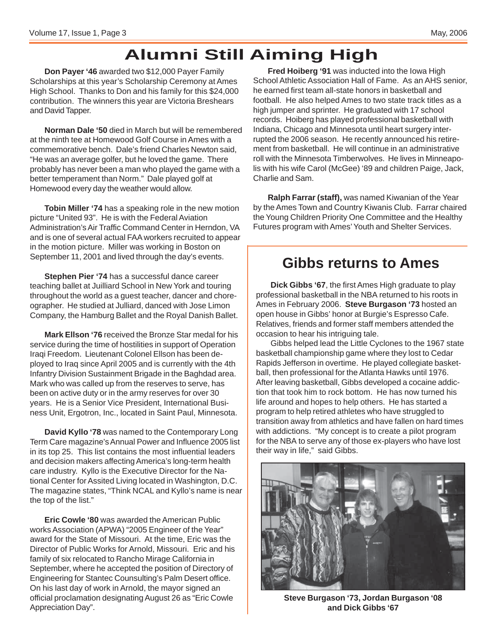# **Alumni Still Aiming High**

**Don Payer '46** awarded two \$12,000 Payer Family Scholarships at this year's Scholarship Ceremony at Ames High School. Thanks to Don and his family for this \$24,000 contribution. The winners this year are Victoria Breshears and David Tapper.

**Norman Dale '50** died in March but will be remembered at the ninth tee at Homewood Golf Course in Ames with a commemorative bench. Dale's friend Charles Newton said, "He was an average golfer, but he loved the game. There probably has never been a man who played the game with a better temperament than Norm." Dale played golf at Homewood every day the weather would allow.

**Tobin Miller '74** has a speaking role in the new motion picture "United 93". He is with the Federal Aviation Administration's Air Traffic Command Center in Herndon, VA and is one of several actual FAA workers recruited to appear in the motion picture. Miller was working in Boston on September 11, 2001 and lived through the day's events.

**Stephen Pier '74** has a successful dance career teaching ballet at Juilliard School in New York and touring throughout the world as a guest teacher, dancer and choreographer. He studied at Julliard, danced with Jose Limon Company, the Hamburg Ballet and the Royal Danish Ballet.

**Mark Ellson '76** received the Bronze Star medal for his service during the time of hostilities in support of Operation Iraqi Freedom. Lieutenant Colonel Ellson has been deployed to Iraq since April 2005 and is currently with the 4th Infantry Division Sustainment Brigade in the Baghdad area. Mark who was called up from the reserves to serve, has been on active duty or in the army reserves for over 30 years. He is a Senior Vice President, International Business Unit, Ergotron, Inc., located in Saint Paul, Minnesota.

**David Kyllo '78** was named to the Contemporary Long Term Care magazine's Annual Power and Influence 2005 list in its top 25. This list contains the most influential leaders and decision makers affecting America's long-term health care industry. Kyllo is the Executive Director for the National Center for Assited Living located in Washington, D.C. The magazine states, "Think NCAL and Kyllo's name is near the top of the list."

**Eric Cowle '80** was awarded the American Public works Association (APWA) "2005 Engineer of the Year" award for the State of Missouri. At the time, Eric was the Director of Public Works for Arnold, Missouri. Eric and his family of six relocated to Rancho Mirage California in September, where he accepted the position of Directory of Engineering for Stantec Counsulting's Palm Desert office. On his last day of work in Arnold, the mayor signed an official proclamation designating August 26 as "Eric Cowle Appreciation Day".

**Fred Hoiberg '91** was inducted into the Iowa High School Athletic Association Hall of Fame. As an AHS senior, he earned first team all-state honors in basketball and football. He also helped Ames to two state track titles as a high jumper and sprinter. He graduated with 17 school records. Hoiberg has played professional basketball with Indiana, Chicago and Minnesota until heart surgery interrupted the 2006 season. He recently announced his retirement from basketball. He will continue in an administrative roll with the Minnesota Timberwolves. He lives in Minneapolis with his wife Carol (McGee) '89 and children Paige, Jack, Charlie and Sam.

**Ralph Farrar (staff),** was named Kiwanian of the Year by the Ames Town and Country Kiwanis Club. Farrar chaired the Young Children Priority One Committee and the Healthy Futures program with Ames' Youth and Shelter Services.

### **Gibbs returns to Ames**

**Dick Gibbs '67**, the first Ames High graduate to play professional basketball in the NBA returned to his roots in Ames in February 2006. **Steve Burgason '73** hosted an open house in Gibbs' honor at Burgie's Espresso Cafe. Relatives, friends and former staff members attended the occasion to hear his intriguing tale.

Gibbs helped lead the Little Cyclones to the 1967 state basketball championship game where they lost to Cedar Rapids Jefferson in overtime. He played collegiate basketball, then professional for the Atlanta Hawks until 1976. After leaving basketball, Gibbs developed a cocaine addiction that took him to rock bottom. He has now turned his life around and hopes to help others. He has started a program to help retired athletes who have struggled to transition away from athletics and have fallen on hard times with addictions. "My concept is to create a pilot program for the NBA to serve any of those ex-players who have lost their way in life," said Gibbs.



**Steve Burgason '73, Jordan Burgason '08 and Dick Gibbs '67**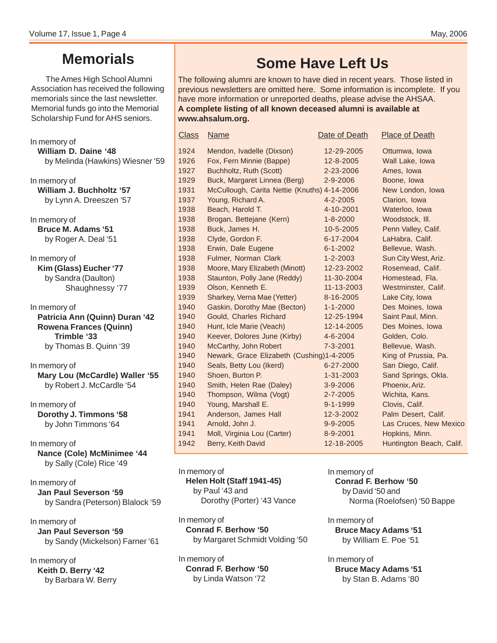### **Memorials**

The Ames High School Alumni Association has received the following memorials since the last newsletter. Memorial funds go into the Memorial Scholarship Fund for AHS seniors.

In memory of **William D. Daine '48** by Melinda (Hawkins) Wiesner '59

In memory of **William J. Buchholtz '57** by Lynn A. Dreeszen '57

In memory of **Bruce M. Adams '51** by Roger A. Deal '51

In memory of **Kim (Glass) Eucher '77** by Sandra (Daulton) Shaughnessy '77

In memory of **Patricia Ann (Quinn) Duran '42 Rowena Frances (Quinn) Trimble '33** by Thomas B. Quinn '39

In memory of **Mary Lou (McCardle) Waller '55** by Robert J. McCardle '54

In memory of **Dorothy J. Timmons '58** by John Timmons '64

In memory of **Nance (Cole) McMinimee '44** by Sally (Cole) Rice '49

In memory of **Jan Paul Severson '59** by Sandra (Peterson) Blalock '59

In memory of **Jan Paul Severson '59** by Sandy (Mickelson) Farner '61

In memory of **Keith D. Berry '42** by Barbara W. Berry

## **Some Have Left Us**

The following alumni are known to have died in recent years. Those listed in previous newsletters are omitted here. Some information is incomplete. If you have more information or unreported deaths, please advise the AHSAA. **A complete listing of all known deceased alumni is available at www.ahsalum.org.**

| <b>Class</b> | <u>Name</u>                                  | Date of Death  | <b>Place of Death</b>    |
|--------------|----------------------------------------------|----------------|--------------------------|
| 1924         | Mendon, Ivadelle (Dixson)                    | 12-29-2005     | Ottumwa, Iowa            |
| 1926         | Fox, Fern Minnie (Bappe)                     | 12-8-2005      | Wall Lake, Iowa          |
| 1927         | Buchholtz, Ruth (Scott)                      | 2-23-2006      | Ames, Iowa               |
| 1929         | Buck, Margaret Linnea (Berg)                 | 2-9-2006       | Boone, Iowa              |
| 1931         | McCullough, Carita Nettie (Knuths) 4-14-2006 |                | New London, Iowa         |
| 1937         | Young, Richard A.                            | 4-2-2005       | Clarion, Iowa            |
| 1938         | Beach, Harold T.                             | 4-10-2001      | Waterloo, Iowa           |
| 1938         | Brogan, Bettejane (Kern)                     | $1 - 8 - 2000$ | Woodstock, III.          |
| 1938         | Buck, James H.                               | 10-5-2005      | Penn Valley, Calif.      |
| 1938         | Clyde, Gordon F.                             | 6-17-2004      | LaHabra, Calif.          |
| 1938         | Erwin, Dale Eugene                           | $6 - 1 - 2002$ | Bellevue, Wash.          |
| 1938         | Fulmer, Norman Clark                         | $1 - 2 - 2003$ | Sun City West, Ariz.     |
| 1938         | Moore, Mary Elizabeth (Minott)               | 12-23-2002     | Rosemead, Calif.         |
| 1938         | Staunton, Polly Jane (Reddy)                 | 11-30-2004     | Homestead, Fla.          |
| 1939         | Olson, Kenneth E.                            | 11-13-2003     | Westminster, Calif.      |
| 1939         | Sharkey, Verna Mae (Yetter)                  | 8-16-2005      | Lake City, Iowa          |
| 1940         | Gaskin, Dorothy Mae (Becton)                 | $1 - 1 - 2000$ | Des Moines, Iowa         |
| 1940         | Gould, Charles Richard                       | 12-25-1994     | Saint Paul, Minn.        |
| 1940         | Hunt, Icle Marie (Veach)                     | 12-14-2005     | Des Moines, Iowa         |
| 1940         | Keever, Dolores June (Kirby)                 | $4 - 6 - 2004$ | Golden, Colo.            |
| 1940         | McCarthy, John Robert                        | 7-3-2001       | Bellevue, Wash.          |
| 1940         | Newark, Grace Elizabeth (Cushing)1-4-2005    |                | King of Prussia, Pa.     |
| 1940         | Seals, Betty Lou (Ikerd)                     | 6-27-2000      | San Diego, Calif.        |
| 1940         | Shoen, Burton P.                             | 1-31-2003      | Sand Springs, Okla.      |
| 1940         | Smith, Helen Rae (Daley)                     | $3 - 9 - 2006$ | Phoenix, Ariz.           |
| 1940         | Thompson, Wilma (Vogt)                       | $2 - 7 - 2005$ | Wichita, Kans.           |
| 1940         | Young, Marshall E.                           | $9 - 1 - 1999$ | Clovis, Calif.           |
| 1941         | Anderson, James Hall                         | 12-3-2002      | Palm Desert, Calif.      |
| 1941         | Arnold, John J.                              | $9 - 9 - 2005$ | Las Cruces, New Mexico   |
| 1941         | Moll, Virginia Lou (Carter)                  | 8-9-2001       | Hopkins, Minn.           |
| 1942         | Berry, Keith David                           | 12-18-2005     | Huntington Beach, Calif. |

In memory of **Helen Holt (Staff 1941-45)** by Paul '43 and Dorothy (Porter) '43 Vance

In memory of **Conrad F. Berhow '50** by Margaret Schmidt Volding '50

In memory of **Conrad F. Berhow '50** by Linda Watson '72

In memory of

**Conrad F. Berhow '50** by David '50 and Norma (Roelofsen) '50 Bappe

In memory of **Bruce Macy Adams '51** by William E. Poe '51

In memory of **Bruce Macy Adams '51** by Stan B. Adams '80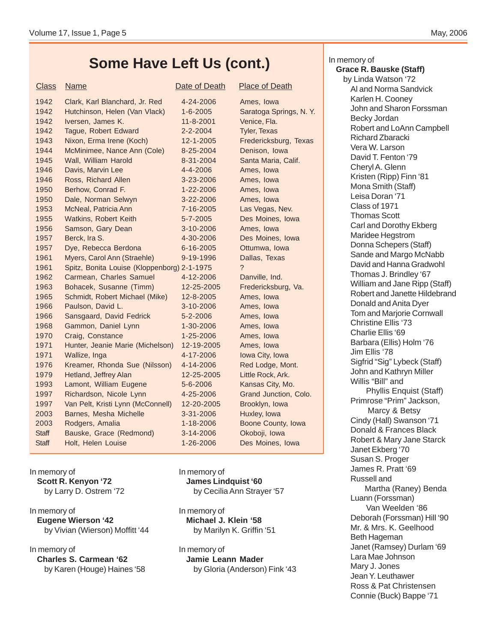### **Some Have Left Us (cont.)**

### **Class** Name Date of Death Place of Death Place of Death 1942 Clark, Karl Blanchard, Jr. Red 4-24-2006 Ames, Iowa 1942 Hutchinson, Helen (Van Vlack) 1-6-2005 Saratoga Springs, N.Y. 1942 Iversen, James K. 11-8-2001 Venice, Fla. 1942 Tague, Robert Edward 2-2-2004 Tyler, Texas 1943 Nixon, Erma Irene (Koch) 12-1-2005 Fredericksburg, Texas 1944 McMinimee, Nance Ann (Cole) 8-25-2004 Denison, Iowa 1945 Wall, William Harold 8-31-2004 Santa Maria, Calif. 1946 Davis, Marvin Lee 4-4-2006 Ames, Iowa 1946 Ross, Richard Allen 3-23-2006 Ames, Iowa 1950 Berhow, Conrad F. 1-22-2006 Ames, Iowa 1950 Dale, Norman Selwyn 3-22-2006 Ames, Iowa 1953 McNeal, Patricia Ann 7-16-2005 Las Vegas, Nev. 1955 Watkins, Robert Keith 5-7-2005 Des Moines, Iowa 1956 Samson, Gary Dean 3-10-2006 Ames, Iowa 1957 Berck, Ira S. 4-30-2006 Des Moines, Iowa 1957 Dye, Rebecca Berdona 6-16-2005 Ottumwa, Iowa 1961 Myers, Carol Ann (Straehle) 9-19-1996 Dallas, Texas 1961 Spitz, Bonita Louise (Kloppenborg) 2-1-1975 ? 1962 Carmean, Charles Samuel 4-12-2006 Danville, Ind. 1963 Bohacek, Susanne (Timm) 12-25-2005 Fredericksburg, Va. 1965 Schmidt, Robert Michael (Mike) 12-8-2005 Ames, Iowa 1966 Paulson, David L. 3-10-2006 Ames, Iowa

1966 Sansgaard, David Fedrick 5-2-2006 Ames, Iowa 1968 Gammon, Daniel Lynn 1-30-2006 Ames, Iowa 1970 Craig, Constance 1-25-2006 Ames, Iowa 1971 Hunter, Jeanie Marie (Michelson) 12-19-2005 Ames, Iowa 1971 Wallize, Inga 4-17-2006 Iowa City, Iowa 1976 Kreamer, Rhonda Sue (Nilsson) 4-14-2006 Red Lodge, Mont. 1979 Hetland, Jeffrey Alan 12-25-2005 Little Rock, Ark. 1993 Lamont, William Eugene 5-6-2006 Kansas City, Mo. 1997 Richardson, Nicole Lynn 4-25-2006 Grand Junction, Colo. 1997 Van Pelt, Kristi Lynn (McConnell) 12-20-2005 Brooklyn, Iowa 2003 Barnes, Mesha Michelle 3-31-2006 Huxley, Iowa 2003 Rodgers, Amalia 1-18-2006 Boone County, Iowa Staff Bauske, Grace (Redmond) 3-14-2006 Okoboji, Iowa Staff Holt, Helen Louise 1-26-2006 Des Moines, Iowa

In memory of **Scott R. Kenyon '72** by Larry D. Ostrem '72

### In memory of **Eugene Wierson '42** by Vivian (Wierson) Moffitt '44

### In memory of **Charles S. Carmean '62** by Karen (Houge) Haines '58

In memory of **James Lindquist '60** by Cecilia Ann Strayer '57

In memory of **Michael J. Klein '58** by Marilyn K. Griffin '51

In memory of **Jamie Leann Mader** by Gloria (Anderson) Fink '43

### In memory of **Grace R. Bauske (Staff)**

by Linda Watson '72 Al and Norma Sandvick Karlen H. Cooney John and Sharon Forssman Becky Jordan Robert and LoAnn Campbell Richard Zbaracki Vera W. Larson David T. Fenton '79 Cheryl A. Glenn Kristen (Ripp) Finn '81 Mona Smith (Staff) Leisa Doran '71 Class of 1971 Thomas Scott Carl and Dorothy Ekberg Maridee Hegstrom Donna Schepers (Staff) Sande and Margo McNabb David and Hanna Gradwohl Thomas J. Brindley '67 William and Jane Ripp (Staff) Robert and Janette Hildebrand Donald and Anita Dyer Tom and Marjorie Cornwall Christine Ellis '73 Charlie Ellis '69 Barbara (Ellis) Holm '76 Jim Ellis '78 Sigfrid "Sig" Lybeck (Staff) John and Kathryn Miller Willis "Bill" and Phyllis Enquist (Staff) Primrose "Prim" Jackson, Marcy & Betsy Cindy (Hall) Swanson '71 Donald & Frances Black Robert & Mary Jane Starck Janet Ekberg '70 Susan S. Proger James R. Pratt '69 Russell and Martha (Raney) Benda Luann (Forssman) Van Weelden '86 Deborah (Forssman) Hill '90 Mr. & Mrs. K. Geelhood Beth Hageman Janet (Ramsey) Durlam '69 Lara Mae Johnson Mary J. Jones Jean Y. Leuthawer Ross & Pat Christensen Connie (Buck) Bappe '71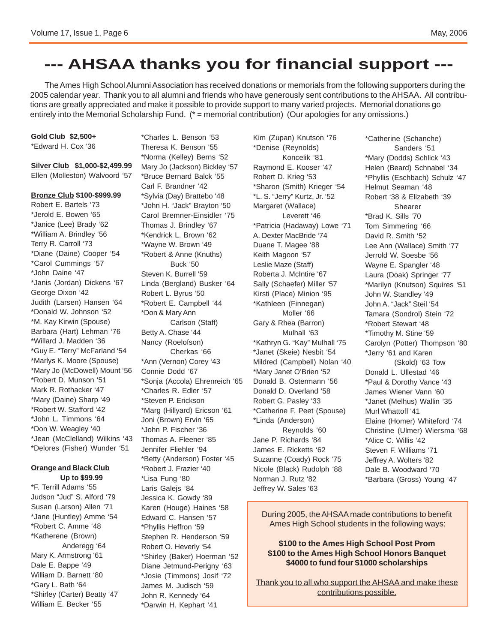### **--- AHSAA thanks you for financial support ---**

The Ames High School Alumni Association has received donations or memorials from the following supporters during the 2005 calendar year. Thank you to all alumni and friends who have generously sent contributions to the AHSAA. All contributions are greatly appreciated and make it possible to provide support to many varied projects. Memorial donations go entirely into the Memorial Scholarship Fund. (\* = memorial contribution) (Our apologies for any omissions.)

**Gold Club \$2,500+**

\*Edward H. Cox '36

**Silver Club \$1,000-\$2,499.99** Ellen (Molleston) Walvoord '57

#### **Bronze Club \$100-\$999.99**

Robert E. Bartels '73 \*Jerold E. Bowen '65 \*Janice (Lee) Brady '62 \*William A. Brindley '56 Terry R. Carroll '73 \*Diane (Daine) Cooper '54 \*Carol Cummings '57 \*John Daine '47 \*Janis (Jordan) Dickens '67 George Dixon '42 Judith (Larsen) Hansen '64 \*Donald W. Johnson '52 \*M. Kay Kirwin (Spouse) Barbara (Hart) Lehman '76 \*Willard J. Madden '36 \*Guy E. "Terry" McFarland '54 \*Marlys K. Moore (Spouse) \*Mary Jo (McDowell) Mount '56 \*Robert D. Munson '51 Mark R. Rothacker '47 \*Mary (Daine) Sharp '49 \*Robert W. Stafford '42 \*John L. Timmons '64 \*Don W. Weagley '40 \*Jean (McClelland) Wilkins '43 \*Delores (Fisher) Wunder '51

### **Orange and Black Club**

**Up to \$99.99** \*F. Terrill Adams '55 Judson "Jud" S. Alford '79 Susan (Larson) Allen '71 \*Jane (Huntley) Amme '54 \*Robert C. Amme '48 \*Katherene (Brown) Anderegg '64 Mary K. Armstrong '61 Dale E. Bappe '49 William D. Barnett '80 \*Gary L. Bath '64 \*Shirley (Carter) Beatty '47 William E. Becker '55

\*Charles L. Benson '53 Theresa K. Benson '55 \*Norma (Kelley) Berns '52 Mary Jo (Jackson) Bickley '57 \*Bruce Bernard Balck '55 Carl F. Brandner '42 \*Sylvia (Day) Brattebo '48 \*John H. "Jack" Brayton '50 Carol Bremner-Einsidler '75 Thomas J. Brindley '67 \*Kendrick L. Brown '62 \*Wayne W. Brown '49 \*Robert & Anne (Knuths) Buck '50 Steven K. Burrell '59 Linda (Bergland) Busker '64 Robert L. Byrus '50 \*Robert E. Campbell '44 \*Don & Mary Ann Carlson (Staff) Betty A. Chase '44 Nancy (Roelofson) Cherkas '66 \*Ann (Vernon) Corey '43 Connie Dodd '67 \*Sonja (Accola) Ehrenreich '65 \*Charles R. Edler '57 \*Steven P. Erickson \*Marg (Hillyard) Ericson '61 Joni (Brown) Ervin '65 \*John P. Fischer '36 Thomas A. Fleener '85 Jennifer Fliehler '94 \*Betty (Anderson) Foster '45 \*Robert J. Frazier '40 \*Lisa Fung '80 Laris Galejs '84 Jessica K. Gowdy '89 Karen (Houge) Haines '58 Edward C. Hansen '57 \*Phyllis Heffron '59 Stephen R. Henderson '59 Robert O. Heverly '54 \*Shirley (Baker) Hoerman '52 Diane Jetmund-Perigny '63 \*Josie (Timmons) Josif '72 James M. Judisch '59 John R. Kennedy '64

\*Darwin H. Kephart '41

Kim (Zupan) Knutson '76 \*Denise (Reynolds) Koncelik '81 Raymond E. Kooser '47 Robert D. Krieg '53 \*Sharon (Smith) Krieger '54 \*L. S. "Jerry" Kurtz, Jr. '52 Margaret (Wallace) Leverett '46 \*Patricia (Hadaway) Lowe '71 A. Dexter MacBride '74 Duane T. Magee '88 Keith Magoon '57 Leslie Maze (Staff) Roberta J. McIntire '67 Sally (Schaefer) Miller '57 Kirsti (Place) Minion '95 \*Kathleen (Finnegan) Moller '66 Gary & Rhea (Barron) Mulhall '63 \*Kathryn G. "Kay" Mulhall '75 \*Janet (Skeie) Nesbit '54 Mildred (Campbell) Nolan '40 \*Mary Janet O'Brien '52 Donald B. Ostermann '56 Donald D. Overland '58 Robert G. Pasley '33 \*Catherine F. Peet (Spouse) \*Linda (Anderson) Reynolds '60 Jane P. Richards '84 James E. Ricketts '62 Suzanne (Coady) Rock '75 Nicole (Black) Rudolph '88 Norman J. Rutz '82 Jeffrey W. Sales '63

\*Catherine (Schanche) Sanders '51 \*Mary (Dodds) Schlick '43 Helen (Beard) Schnabel '34 \*Phyllis (Eschbach) Schulz '47 Helmut Seaman '48 Robert '38 & Elizabeth '39 Shearer \*Brad K. Sills '70 Tom Simmering '66 David R. Smith '52 Lee Ann (Wallace) Smith '77 Jerrold W. Soesbe '56 Wayne E. Spangler '48 Laura (Doak) Springer '77 \*Marilyn (Knutson) Squires '51 John W. Standley '49 John A. "Jack" Steil '54 Tamara (Sondrol) Stein '72 \*Robert Stewart '48 \*Timothy M. Stine '59 Carolyn (Potter) Thompson '80 \*Jerry '61 and Karen (Skold) '63 Tow Donald L. Ullestad '46 \*Paul & Dorothy Vance '43 James Wiener Vann '60 \*Janet (Melhus) Wallin '35 Murl Whattoff '41 Elaine (Homer) Whiteford '74 Christine (Ulmer) Wiersma '68 \*Alice C. Willis '42 Steven F. Williams '71 Jeffrey A. Wolters '82 Dale B. Woodward '70 \*Barbara (Gross) Young '47

During 2005, the AHSAA made contributions to benefit Ames High School students in the following ways:

#### **\$100 to the Ames High School Post Prom \$100 to the Ames High School Honors Banquet \$4000 to fund four \$1000 scholarships**

Thank you to all who support the AHSAA and make these contributions possible.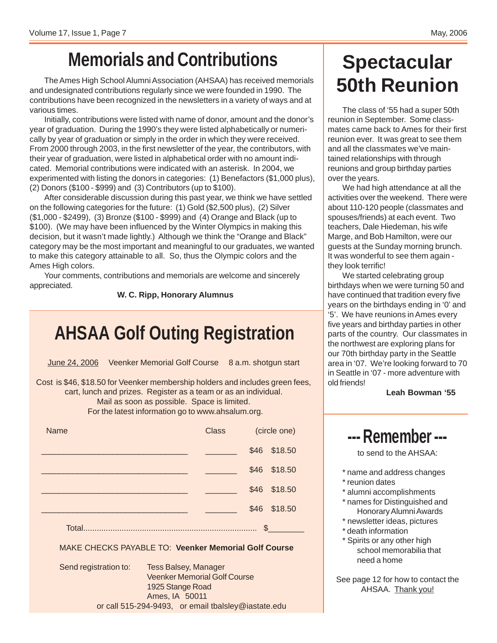# **Memorials and Contributions**

The Ames High School Alumni Association (AHSAA) has received memorials and undesignated contributions regularly since we were founded in 1990. The contributions have been recognized in the newsletters in a variety of ways and at various times.

Initially, contributions were listed with name of donor, amount and the donor's year of graduation. During the 1990's they were listed alphabetically or numerically by year of graduation or simply in the order in which they were received. From 2000 through 2003, in the first newsletter of the year, the contributors, with their year of graduation, were listed in alphabetical order with no amount indicated. Memorial contributions were indicated with an asterisk. In 2004, we experimented with listing the donors in categories: (1) Benefactors (\$1,000 plus), (2) Donors (\$100 - \$999) and (3) Contributors (up to \$100).

After considerable discussion during this past year, we think we have settled on the following categories for the future: (1) Gold (\$2,500 plus), (2) Silver (\$1,000 - \$2499), (3) Bronze (\$100 - \$999) and (4) Orange and Black (up to \$100). (We may have been influenced by the Winter Olympics in making this decision, but it wasn't made lightly.) Although we think the "Orange and Black" category may be the most important and meaningful to our graduates, we wanted to make this category attainable to all. So, thus the Olympic colors and the Ames High colors.

Your comments, contributions and memorials are welcome and sincerely appreciated.

**W. C. Ripp, Honorary Alumnus**

# **AHSAA Golf Outing Registration**

June 24, 2006 Veenker Memorial Golf Course 8 a.m. shotgun start

Cost is \$46, \$18.50 for Veenker membership holders and includes green fees, cart, lunch and prizes. Register as a team or as an individual. Mail as soon as possible. Space is limited. For the latest information go to www.ahsalum.org.

| <b>Name</b> | <b>Class</b> | (circle one) |              |
|-------------|--------------|--------------|--------------|
|             |              |              | \$46 \$18.50 |
|             |              |              | \$46 \$18.50 |
|             |              |              | \$46 \$18.50 |
|             |              |              | \$46 \$18.50 |
| Total.      |              | S            |              |

### MAKE CHECKS PAYABLE TO: **Veenker Memorial Golf Course**

Send registration to: Tess Balsey, Manager Veenker Memorial Golf Course 1925 Stange Road Ames, IA 50011 or call 515-294-9493, or email tbalsley@iastate.edu

# **Spectacular 50th Reunion**

The class of '55 had a super 50th reunion in September. Some classmates came back to Ames for their first reunion ever. It was great to see them and all the classmates we've maintained relationships with through reunions and group birthday parties over the years.

We had high attendance at all the activities over the weekend. There were about 110-120 people (classmates and spouses/friends) at each event. Two teachers, Dale Hiedeman, his wife Marge, and Bob Hamilton, were our guests at the Sunday morning brunch. It was wonderful to see them again they look terrific!

We started celebrating group birthdays when we were turning 50 and have continued that tradition every five years on the birthdays ending in '0' and '5'. We have reunions in Ames every five years and birthday parties in other parts of the country. Our classmates in the northwest are exploring plans for our 70th birthday party in the Seattle area in '07. We're looking forward to 70 in Seattle in '07 - more adventure with old friends!

**Leah Bowman '55**

## **--- Remember ---**

to send to the AHSAA:

- \* name and address changes
- \* reunion dates
- \* alumni accomplishments
- \* names for Distinguished and Honorary Alumni Awards
- \* newsletter ideas, pictures
- \* death information
- \* Spirits or any other high school memorabilia that need a home

See page 12 for how to contact the AHSAA. Thank you!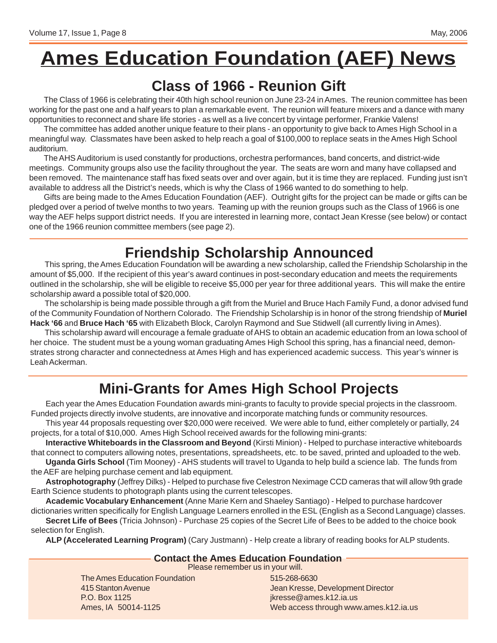# **Ames Education Foundation (AEF) News**

### **Class of 1966 - Reunion Gift**

The Class of 1966 is celebrating their 40th high school reunion on June 23-24 in Ames. The reunion committee has been working for the past one and a half years to plan a remarkable event. The reunion will feature mixers and a dance with many opportunities to reconnect and share life stories - as well as a live concert by vintage performer, Frankie Valens!

The committee has added another unique feature to their plans - an opportunity to give back to Ames High School in a meaningful way. Classmates have been asked to help reach a goal of \$100,000 to replace seats in the Ames High School auditorium.

The AHS Auditorium is used constantly for productions, orchestra performances, band concerts, and district-wide meetings. Community groups also use the facility throughout the year. The seats are worn and many have collapsed and been removed. The maintenance staff has fixed seats over and over again, but it is time they are replaced. Funding just isn't available to address all the District's needs, which is why the Class of 1966 wanted to do something to help.

Gifts are being made to the Ames Education Foundation (AEF). Outright gifts for the project can be made or gifts can be pledged over a period of twelve months to two years. Teaming up with the reunion groups such as the Class of 1966 is one way the AEF helps support district needs. If you are interested in learning more, contact Jean Kresse (see below) or contact one of the 1966 reunion committee members (see page 2).

# **Friendship Scholarship Announced**

This spring, the Ames Education Foundation will be awarding a new scholarship, called the Friendship Scholarship in the amount of \$5,000. If the recipient of this year's award continues in post-secondary education and meets the requirements outlined in the scholarship, she will be eligible to receive \$5,000 per year for three additional years. This will make the entire scholarship award a possible total of \$20,000.

The scholarship is being made possible through a gift from the Muriel and Bruce Hach Family Fund, a donor advised fund of the Community Foundation of Northern Colorado. The Friendship Scholarship is in honor of the strong friendship of **Muriel Hack '66** and **Bruce Hach '65** with Elizabeth Block, Carolyn Raymond and Sue Stidwell (all currently living in Ames).

This scholarship award will encourage a female graduate of AHS to obtain an academic education from an Iowa school of her choice. The student must be a young woman graduating Ames High School this spring, has a financial need, demonstrates strong character and connectedness at Ames High and has experienced academic success. This year's winner is Leah Ackerman.

# **Mini-Grants for Ames High School Projects**

Each year the Ames Education Foundation awards mini-grants to faculty to provide special projects in the classroom. Funded projects directly involve students, are innovative and incorporate matching funds or community resources.

This year 44 proposals requesting over \$20,000 were received. We were able to fund, either completely or partially, 24 projects, for a total of \$10,000. Ames High School received awards for the following mini-grants:

**Interactive Whiteboards in the Classroom and Beyond** (Kirsti Minion) - Helped to purchase interactive whiteboards that connect to computers allowing notes, presentations, spreadsheets, etc. to be saved, printed and uploaded to the web.

**Uganda Girls School** (Tim Mooney) - AHS students will travel to Uganda to help build a science lab. The funds from the AEF are helping purchase cement and lab equipment.

**Astrophotography** (Jeffrey Dilks) - Helped to purchase five Celestron Neximage CCD cameras that will allow 9th grade Earth Science students to photograph plants using the current telescopes.

**Academic Vocabulary Enhancement** (Anne Marie Kern and Shaeley Santiago) - Helped to purchase hardcover

dictionaries written specifically for English Language Learners enrolled in the ESL (English as a Second Language) classes. **Secret Life of Bees** (Tricia Johnson) - Purchase 25 copies of the Secret Life of Bees to be added to the choice book selection for English.

**ALP (Accelerated Learning Program)** (Cary Justmann) - Help create a library of reading books for ALP students.

### **Contact the Ames Education Foundation**

Please remember us in your will.

The Ames Education Foundation 415 Stanton Avenue P.O. Box 1125 Ames, IA 50014-1125

515-268-6630 Jean Kresse, Development Director jkresse@ames.k12.ia.us Web access through www.ames.k12.ia.us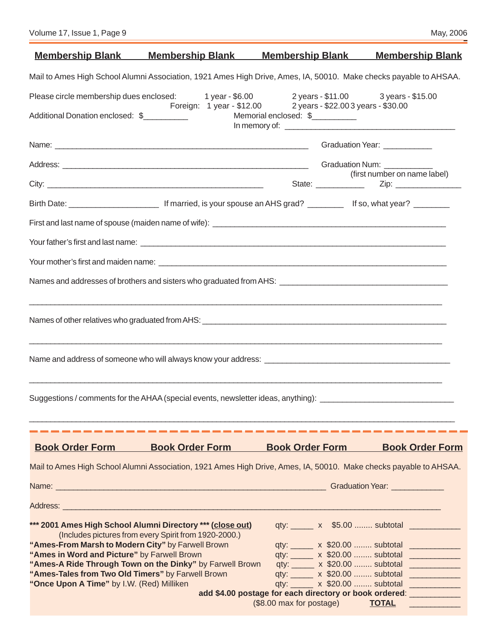| Volume 17, Issue 1, Page 9 | May, 2006 |
|----------------------------|-----------|
|----------------------------|-----------|

|                                                                                                  |                                                                                                                                                                               |                          | <u>Membership Blank Membership Blank Membership Blank Membership Blank</u>                                          |
|--------------------------------------------------------------------------------------------------|-------------------------------------------------------------------------------------------------------------------------------------------------------------------------------|--------------------------|---------------------------------------------------------------------------------------------------------------------|
|                                                                                                  |                                                                                                                                                                               |                          | Mail to Ames High School Alumni Association, 1921 Ames High Drive, Ames, IA, 50010. Make checks payable to AHSAA.   |
|                                                                                                  | Please circle membership dues enclosed: 1 year - \$6.00 2 years - \$11.00 3 years - \$15.00<br>Foreign: 1 year - \$12.00 2 years - \$22.003 years - \$30.00                   |                          |                                                                                                                     |
| roreig<br>_____________________Additional Donation enclosed: \$______________                    |                                                                                                                                                                               | Memorial enclosed: \$    |                                                                                                                     |
|                                                                                                  |                                                                                                                                                                               |                          | Graduation Year: ___________                                                                                        |
|                                                                                                  |                                                                                                                                                                               |                          |                                                                                                                     |
|                                                                                                  |                                                                                                                                                                               |                          | (first number on name label)                                                                                        |
|                                                                                                  |                                                                                                                                                                               |                          |                                                                                                                     |
|                                                                                                  |                                                                                                                                                                               |                          |                                                                                                                     |
|                                                                                                  |                                                                                                                                                                               |                          |                                                                                                                     |
|                                                                                                  |                                                                                                                                                                               |                          |                                                                                                                     |
|                                                                                                  |                                                                                                                                                                               |                          |                                                                                                                     |
|                                                                                                  | <u> 1989 - Jan James James James James James James James James James James James James James James James James J</u>                                                          |                          |                                                                                                                     |
|                                                                                                  | Name and address of someone who will always know your address: [11] The mannoun mannoun mannoun mannoun mannou                                                                |                          |                                                                                                                     |
|                                                                                                  | <u> 1989 - Johann Stoff, amerikansk politiker (d. 1989)</u><br>Suggestions / comments for the AHAA (special events, newsletter ideas, anything): ____________________________ |                          |                                                                                                                     |
|                                                                                                  |                                                                                                                                                                               |                          |                                                                                                                     |
| <b>Book Order Form</b>                                                                           | <b>Book Order Form</b>                                                                                                                                                        | <b>Book Order Form</b>   | <b>Book Order Form</b>                                                                                              |
|                                                                                                  |                                                                                                                                                                               |                          | Mail to Ames High School Alumni Association, 1921 Ames High Drive, Ames, IA, 50010. Make checks payable to AHSAA.   |
|                                                                                                  |                                                                                                                                                                               |                          |                                                                                                                     |
|                                                                                                  |                                                                                                                                                                               |                          |                                                                                                                     |
|                                                                                                  | *** 2001 Ames High School Alumni Directory *** (close out)<br>(Includes pictures from every Spirit from 1920-2000.)                                                           |                          | qty: _______ x \$5.00  subtotal _____________                                                                       |
| "Ames-From Marsh to Modern City" by Farwell Brown<br>"Ames in Word and Picture" by Farwell Brown |                                                                                                                                                                               |                          | qty: ______ x \$20.00  subtotal _____________<br>qty: x \$20.00  subtotal _____________                             |
|                                                                                                  | "Ames-A Ride Through Town on the Dinky" by Farwell Brown                                                                                                                      |                          | qty: ______ x \$20.00  subtotal _____________                                                                       |
| "Ames-Tales from Two Old Timers" by Farwell Brown                                                |                                                                                                                                                                               |                          | qty: ______ x \$20.00  subtotal _____________                                                                       |
| "Once Upon A Time" by I.W. (Red) Milliken                                                        |                                                                                                                                                                               |                          | qty: ______ x \$20.00  subtotal _____________<br>add \$4.00 postage for each directory or book ordered: ___________ |
|                                                                                                  |                                                                                                                                                                               | (\$8.00 max for postage) | <b>TOTAL</b>                                                                                                        |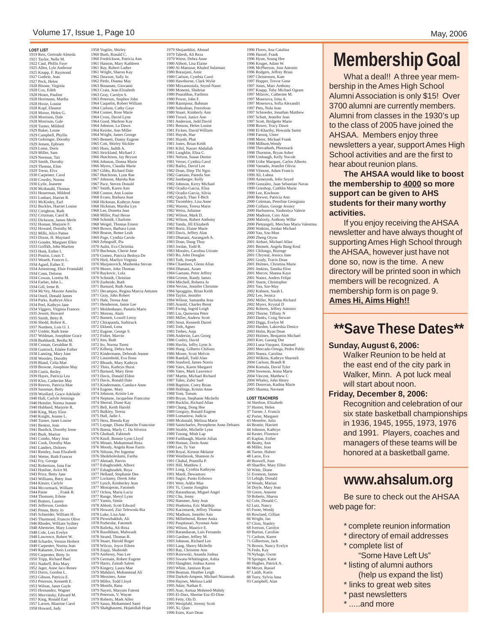#### Volume 17, Issue 1, Page 10 May, 2006

1958 Vogtlin, Shirley 1960 Bush, Ronald C. 1960 Fredrickson, Patricia Ann 1961 Hanson, Mary Kathleen 1961 Ray, Robert Luther 1961 Wright, Sharon Kay 1962 Dawson, Sally Jo 1962 Pirtle, Dianna May 1963 Bonanate, Giovanni 1963 Crain, Jean Elizabeth 1963 Gray, Carolyn S. 1963 Peterson, Stephen John 1964 Caquelin, Robert William 1964 Carlson, Cathy Gaye 1964 Conner, Rose Marie 1964 Cross, David Lynn<br>1964 Johnson, La Dawn<br>1964 Keisler, Ann Miller<br>1964 Keisler, Ann Miller<br>1964 Wright, James George<br>1965 Bennett, Danny Eugene<br>1965 Eott, Shirley Stickler<br>1965 Horn, Judith A.<br>1965 Strickland, Michael 1966 Hutchison, Jay Bryson 1966 Johnson, Donna Marie 1966 Myers, Claudia Marie 1967 Gibbs, Richard Dale 1967 Hutchison, Lynn Rae 1967 Johnson, Marsha Rae 1967 Pace, Steven Donald 1967 Smith, Karen Ann 1968 Connor, Ann Louise 1968 Evans, Barbara Jean 1968 Hickman, Kathryn Anne 1968 Hickman, Marsha Lyn 1968 Lee, Donetta Jean 1968 Miller, Paul Hesse 1968 Schmidt, Charlott 1968 Weigel, Thomas Ernest 1969 Brown, Barbara Lynn 1969 Bruton, Renee Leah 1969 Page, Cynthia Carole 1969 Zehngraff, Pia 1970 Aulin, Eva Christina 1970 Buchman, Cherie June 1970 Gomez, Patricia Bedoya De 1970 Hird, Marilyn Virginia 1970 Marjanovich, Mashenka Stevan 1970 Moore, John Thomas 1970 Raykovic, Lola 1970 Schmidt, Christian<br>1970 Schmidt, Christian<br>1971 Barnard, Ruth Anna<br>1971 Decampos, Regina Marcia Antunes<br>1971 Decampos, Regina Marcia Antunes<br>1971 Hale, Teresa Ann<br>1971 Henderson, Jamie Lee<br>1971 Moddenhauer, Pamela Mar 1972 Eklund, Lena<br>1972 Eugene, George S.<br>1972 Eugene, George S.<br>1972 Fisher, Marvin<br>1972 Iten, Ruth<br>1972 Kilberg, Debra Ann<br>1972 Kilberg, Debra Ann<br>1972 Kindermann, Deborah Jeanne<br>1972 Linzenbold, Eva Ilona 1972 Rhoads, Mary Kathryn 1972 Thies, Kathryn Hurst 1973 Barnard, Mary Ilene 1973 Davis, Donald Eldon 1973 Davis, Ronald Dale 1973 Kindermann, Candace Anne 1974 Eugene, Mary 1974 Johnson, Kristie Lee 1974 Neptune, Jacqueline Francoise 1974 Sherod, Diane Kay 1975 Bell, Keith Harold 1975 Bulkley, Teresa 1975 Hall, Jadie J. 1975 Hess, Brenda Kay 1975 Lepage, Diana Blanche Francoise 1976 Baena, Marly C. Da Silveira 1976 Ghobadi, Fahimeh 1976 Knoll, Bonnie Lynn Lloyd 1976 Minaei, Mohammad Reza 1976 Moody, Angela Rose Farris 1976 Nilsson, Per Ingemar 1976 Sheikholeslami, Fariba 1977 Ahmadi, Parvin 1977 Eshaghzadeh, Alborz 1977 Eshaghzadeh, Roya 1977 Helland, Stephanie Dee 1977 Lockamy, Derek John 1977 Lynch, Kimberley Jean<br>1977 Mostajeran, Fatomeh 1977 Mostajeran, Fatomeh 1977 Ochoa, Maria Lucia 1977 Runge, Sheryl Lynn 1977 Yamin, Simin 1978 Abbott, Scott Edward 1978 Howard, Zizi Telewoda Bia 1978 Luke, Lisa Ann 1978 Piroozbakhsh, Ali 1978 Porheidar, Fatomeh 1978 Rafieha, Ali-Reza 1978 Rasolkhani, Mahwash 1978 Strand, Thomas R. 1978 Stuart, Harold Roger 1978 Wilcox, Joyce Eileen 1978 Zojaji, Shahrokh 1979 Ambrosy, Nan Lee 1979 Germain, Robert Eugene 1979 Hariri, Zainab Salem 1979 Kingery, Laura Mae 1979 Mahdavi, Muhammad Ali 1979 Messines, Anne 1979 Miller, Todd Lloyd 1979 Monibi, Rana 1979 Nayeri, Maryam Fatemi 1979 Peterson, V. Wayne 1979 Roberts, Mark Allen 1979 Sasso, Mohammed Sami 1979 Shahghasemi, Hojatollah Hojat

1979 Shojaeddini, Ahmad 1979 Tabesh, Ali Reza 1979 Wiese, Debra Anne<br>1980 Abbott, Lisa Elaine 1980 Abbott, Lisa Elaine 1980 Al-Mansour, Khaled Sulaiman 1980 Borazjani, Amir 1980 Carlson, Cynthia Carol 1980 Hawthorne, Clark Wylie 1980 Mirzamostafa, Seyed-Naser 1980 Monemi, Shahriar 1980 Pourabbas, Fariborz 1980 Power, John F. 1980 Razmpour, Bahman 1980 Sohrabian, Fereidoon 1980 Stuart, Kimberly Ann 1980 Troxel, Janice Ann 1981 Anderson, Jedd David 1981 Benson, Helen Louise 1981 Ficken, David William 1981 Huynh, Hue 1981 Huynh, Phat 1981 Jones, Brian Keith 1981 Kifel, Nasser Abdallah 1981 Laughlin, Elisa C. 1981 Nelson, Susan Denise 1981 Verser, Cynthia Carol 1982 Bailey, David Lee 1982 Doan, Diep Thi Ngoc 1982 Gaetano, Pamela Sue 1982 Isenberger, Kelly 1982 Johnson, Kerry Michael 1982 Ocadiz-Garcia, Elisa 1982 Ocadiz-Garcia, Silvia 1982 Quach, Thao T-Bich 1982 Twombley, Lisa Anne 1982 Warren, Teresa Marie 1982 Weiss, Julianne 1982 Wilson, Mark D. 1982 Wilson, Robert Anthony 1982 Yanda, Jill Elizabeth 1983 Bortz, Elaine Marie 1983 Davis, Jeffrey Alan 1983 Dhanani, Aurangzeb A. 1983 Doan, Dung Thuy 1983 Jordan, Todd R. 1983 Morales, Carolina Urioste 1983 Ro, John Douglas 1983 Toth, Joseph 1984 Chambers, Glenn Allan 1984 Dhanani, Azam 1984 Gaetano, Peter Jeffrey<br>1984 Grimm, Randy James 1984 Grimm, Randy James 1984 Mitchell, Roberta Jo 1984 Nevins, Jennifer Christine 1984 Spraggins, Brian Keith 1984 Taylor, Jennifer 1984 Wilson, Samantha Jean 1985 Arnold, Charles Brent 1985 Ewing, Ingrid Leigh 1985 Liu, Quowona Peter 1985 Miller, Andrew Scott 1985 Stout, Kenneth Darrel 1985 Toth, Agnes 1985 Trebes, Anja 1986 Andersin, Lars Georg 1986 Conley, David 1986 Havlin, Jeffry Lynn Jr. 1986 Hung, Gilberto Chifoon 1986 Moore, Scott Melvin 1986 Randall, Todd Alan 1986 Stanford, James Norris 1986 Yates, Karen Margaret 1986 Yates, Mark Lawrence 1987 Martin, Michael Richard 1987 Taher, Zafer Saef<br>1988 Bantiste, Corey Brian 1988 Baptiste, Corey Brian<br>1988 Hollings, Kristin Anne<br>1988 Yom, Toeum<br>1988 Yom, Toeum<br>1989 Bryan, Stephanie Michelle<br>1989 Bucklin, Richard Allan<br>1989 Cheng, Dong Hee<br>1989 Cregory, Ronald Eugene<br>1989 Lomantow, Judicia<br>1989 1989 Saintcharles, Persephene Anne Debates<br>1989 Strable, Michelle Lynn 1989 Strable, Michelle Lynn<br>1990 Fashbaugh, Martin Jolian<br>1990 Homan, Dorie Anne<br>1990 Lee, Ty Van<br>1990 Royal, Kirsten Melanie<br>1990 Westbrook, Shannon Jo<br>1991 Westbrook, Shannon Jo<br>1991 Hill, Matthew J. 1991 Long, Cynthia Kathryne 1991 Mardi, Dewantoro 1991 Sugiri, Punto Eribowo 1991 West, Addie Mae 1991 Yi, Connie Jiongl 1992 Barandiaran, Miguel Angel 1992 Chu, Jenny 1992 Hammer, Amy Jean 1992 Hoekema, Eric Matthijs 1992 Kaczmarek, Jeffrey Thomas 1992 Madison, Jennifer Ann 1992 Millerbernd, Renee Anita 1992 Puspitasari, Nyoman Anie 1992 Wilson, Maurice E. 1993 Barandiaran, Luis Fernando<br>1993 Barandiaran, Luis Fernando<br>1993 Johason, Richerd Lee<br>1993 Lang, Sherry Michelle<br>1993 Earg, Christene Ann<br>1993 Rozwewski, Ananda Joshua<br>1993 Siwatu-Whittington, Ashia<br>1993 Silwatu-Whitin 1995 Asar, Asmaa Mohmed-Mahdy 1995 El-Dars, Sherine Ezz-El-Dine 1995 Fetty, Ola D. 1995 Westpfahl, Jeremy Scott 1995 Xi, Qian 1996 Estes, Kurt Dean

1996 Flores, Ana Catalina<br>1996 Hassel, Frank 1996 Hassel, Frank<br>1996 Kruger, Adam W.<br>1996 Kruger, Adam W.<br>1996 McPherson, Jose Antonio<br>1997 Christensen, Kate<br>1997 Christensen, Kate<br>1997 Jones, Marc Anthony<br>1997 Jones, Marc Anthony<br>1997 Knapp, Toby Michael Ogram 1997 Milavec, Catherine M. 1997 Mosesova, Irina A. 1997 Mosesova, Sofia Alexandri 1997 Pitts, Nola Jean 1997 Schroeder, Jonathan Matthew 1997 Schutt, Jennifer Jean 1997 Scott, Bridgette Marie 1998 Bower, Tracy Dawn 1998 El-Khariby, Howaida Samir 1998 Farooq, Umer 1998 Meier, Michael Frank 1998 Milburn,Wendy 1998 Thevathath, Phornsack 1998 Thornton, Bryan Asher 1998 Umbaugh, Kelly Nocole 1998 Uribe Marquez, Carlos Alberto 1998 Varnado, Jennifer Olivia 1998 Vilmont, Adam Francis 1999 Ali, Lubna 1999 Azmeyesh, Jefer Seyed 1999 Gonzalez, Juan Sebastian Navas 1999 Grieshop, Caithlin Marie 1999 Lee, Kiwhoon 2000 Brewer, Patricia Ann 2000 Coleman, Peterline Georgiana 2000 Collazo, George Jessiey 2000 Harbunova, Yauheniya Valerie 2000 Madison, Cory Alan<br>2000 Malooly, Anthony Wilke<br>2000 Pietrangeli, Merchau Maria Valentina<br>2000 Watkins, Jordan Michael<br>2000 Yau, Szu-Mun<br>2001 Zhing Royou<br>2001 Airhart, Michael Allan<br>2001 Brinnett, Angela Bang Keul<br>2001 2001 Chrystal, Jessica Jane 2001 Grady, Travis Dean 2001 Holmes, Christina Marie 2001 Jenkins, Tamika Elon 2001 Mercer, Shanna Kaye<br>2001 Nunez, Andres Felipe 2001 Nunez, Andres Felipe 2001 Sturm, Christopher 2001 Yau, Sze-May 2002 Kuhnen, Sarah L 2002 Lee, Jessica 2002 Miller, Nicholas Richard 2002 Myers, Krystal D 2002 Roberts, Jeffrey Antonio 2002 Thorne, Tiffany N 2003 Danks, Craig Stewart 2003 Diggs, Evelyn M 2003 Harden, Lakreshia Denice 2003 Holm, Ryan Dean 2003 Holmes, Benjamin Michael 2003 Kier, Garang Dut 2003 Luna-Vazquez, Emanuel 2003 Mercado-Ortega, Pedro Pablo 2003 Nunez, Carolina 2003 Wilkins, Kathryn Sharmili 2004 Carlson, Brandt R 2004 Komula, David Tyler 2004 Swenson, Jenna Marie 2004 Vincent, Matthew C 2004 Whaley, John Henry 2005 Donovan, Kadina Marie 2005 Sharma, Navn **LOST TEACHERS**<br>
34 Sherbon, Elizabeth<br>
37 Turner, J. Francis<br>
42 Porter, Margaret<br>
43 Menefee, Julia<br>
44 Beattie, Harriett 44 Johnson, Kathryn 44 Kester, Florence 45 Kaplan, Esther 46 Beatty, Ann 46 Miller, Jean 46 Miller, Jean 46 Turner, Hubert 48 Laros, Eva 49 Boswell, Joan 49 Shaeffer, Mary Ellen 50 Witte, Diane 51 Evenson, James 53 Lehigh, Donald 54 Woods, Marian 56 Doyle, Mary Jean<br>59 Green, Annette 59 Green, Annette 59 Roberts, Sharon 62 Cole, Donald C. 62 Lutz, Nancy 65 Foote, Wendy 66 Rowland, Gillian 66 Wright, Jan 67 Closs, Stanley 68 Iverson, Carolyn 69 Burton, Caroline 71 Carlson, Karen 71 Gilbertson, Jack 76 Brown, Nancy Evelyn 76 Fedo, Kay 78 Nyhage, Gwen 78 Springer, Katie 80 Hughes, Patrick A. 80 Meyer, Russel 87 Lamb, Karin 88 Torry, Sylvia Juna 93 Campbell, Alan

# **Membership Goal**

What a deal!! A three year membership in the Ames High School Alumni Association is only \$15! Over 3700 alumni are currently members. Alumni from classes in the 1930's up to the class of 2005 have joined the AHSAA. Members enjoy three newsletters a year, support Ames High School activities and are the first to hear about reunion plans.

**The AHSAA would like to boost the membership to 4000 so more support can be given to AHS students for their many worthy activities.**

If you enjoy receiving the AHSAA newsletter and have always thought of supporting Ames High School through the AHSAA, however just have not done so, now is the time. A new directory will be printed soon in which members will be recognized. A membership form is on page 9. **Ames Hi, Aims High!!**

### **\*\*Save These Dates\*\***

### **Sunday, August 6, 2006:**

Walker Reunion to be held at the east end of the city park in Walker, Minn. A pot luck meal will start about noon.

#### **Friday, December 8, 2006:**

Recognition and celebration of our six state basketball championships in 1936, 1945, 1955, 1973, 1976 and 1991. Players, coaches and managers of these teams will be honored at a basketball game.

### **www.ahsalum.org**

Be sure to check out the AHSAA web page for:

- \* complete reunion information
- \* directory of email addresses \* complete list of
- "Some Have Left Us" \* listing of alumni authors
- (help us expand the list)
- \* links to great web sites
- \* past newsletters
- .....and more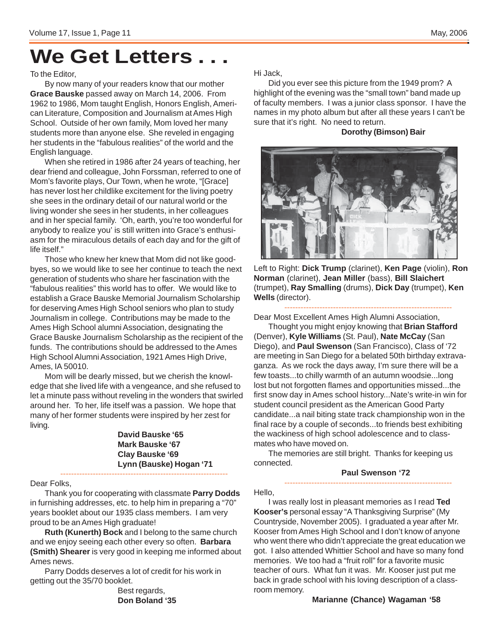# **We Get Letters . . .**

#### To the Editor,

By now many of your readers know that our mother **Grace Bauske** passed away on March 14, 2006. From 1962 to 1986, Mom taught English, Honors English, American Literature, Composition and Journalism at Ames High School. Outside of her own family, Mom loved her many students more than anyone else. She reveled in engaging her students in the "fabulous realities" of the world and the English language.

When she retired in 1986 after 24 years of teaching, her dear friend and colleague, John Forssman, referred to one of Mom's favorite plays, Our Town, when he wrote, "[Grace] has never lost her childlike excitement for the living poetry she sees in the ordinary detail of our natural world or the living wonder she sees in her students, in her colleagues and in her special family. 'Oh, earth, you're too wonderful for anybody to realize you' is still written into Grace's enthusiasm for the miraculous details of each day and for the gift of life itself."

Those who knew her knew that Mom did not like goodbyes, so we would like to see her continue to teach the next generation of students who share her fascination with the "fabulous realities" this world has to offer. We would like to establish a Grace Bauske Memorial Journalism Scholarship for deserving Ames High School seniors who plan to study Journalism in college. Contributions may be made to the Ames High School alumni Association, designating the Grace Bauske Journalism Scholarship as the recipient of the funds. The contributions should be addressed to the Ames High School Alumni Association, 1921 Ames High Drive, Ames, IA 50010.

Mom will be dearly missed, but we cherish the knowledge that she lived life with a vengeance, and she refused to let a minute pass without reveling in the wonders that swirled around her. To her, life itself was a passion. We hope that many of her former students were inspired by her zest for living.

> **David Bauske '65 Mark Bauske '67 Clay Bauske '69 Lynn (Bauske) Hogan '71**

Dear Folks,

Thank you for cooperating with classmate **Parry Dodds** in furnishing addresses, etc. to help him in preparing a "70" years booklet about our 1935 class members. I am very proud to be an Ames High graduate!

--------------------------------------------------------------

**Ruth (Kunerth) Bock** and I belong to the same church and we enjoy seeing each other every so often. **Barbara (Smith) Shearer** is very good in keeping me informed about Ames news.

Parry Dodds deserves a lot of credit for his work in getting out the 35/70 booklet.

> Best regards, **Don Boland '35**

Hi Jack,

Did you ever see this picture from the 1949 prom? A highlight of the evening was the "small town" band made up of faculty members. I was a junior class sponsor. I have the names in my photo album but after all these years I can't be sure that it's right. No need to return.

### **Dorothy (Bimson) Bair**



Left to Right: **Dick Trump** (clarinet), **Ken Page** (violin), **Ron Norman** (clarinet), **Jean Miller** (bass), **Bill Slaichert** (trumpet), **Ray Smalling** (drums), **Dick Day** (trumpet), **Ken Wells** (director).

-------------------------------------------------------------- Dear Most Excellent Ames High Alumni Association,

Thought you might enjoy knowing that **Brian Stafford** (Denver), **Kyle Williams** (St. Paul), **Nate McCay** (San Diego), and **Paul Swenson** (San Francisco), Class of '72 are meeting in San Diego for a belated 50th birthday extravaganza. As we rock the days away, I'm sure there will be a few toasts...to chilly warmth of an autumn woodsie...long lost but not forgotten flames and opportunities missed...the first snow day in Ames school history...Nate's write-in win for student council president as the American Good Party candidate...a nail biting state track championship won in the final race by a couple of seconds...to friends best exhibiting the wackiness of high school adolescence and to classmates who have moved on.

The memories are still bright. Thanks for keeping us connected.

### **Paul Swenson '72**

--------------------------------------------------------------

Hello,

I was really lost in pleasant memories as I read **Ted Kooser's** personal essay "A Thanksgiving Surprise" (My Countryside, November 2005). I graduated a year after Mr. Kooser from Ames High School and I don't know of anyone who went there who didn't appreciate the great education we got. I also attended Whittier School and have so many fond memories. We too had a "fruit roll" for a favorite music teacher of ours. What fun it was. Mr. Kooser just put me back in grade school with his loving description of a classroom memory.

#### **Marianne (Chance) Wagaman '58**